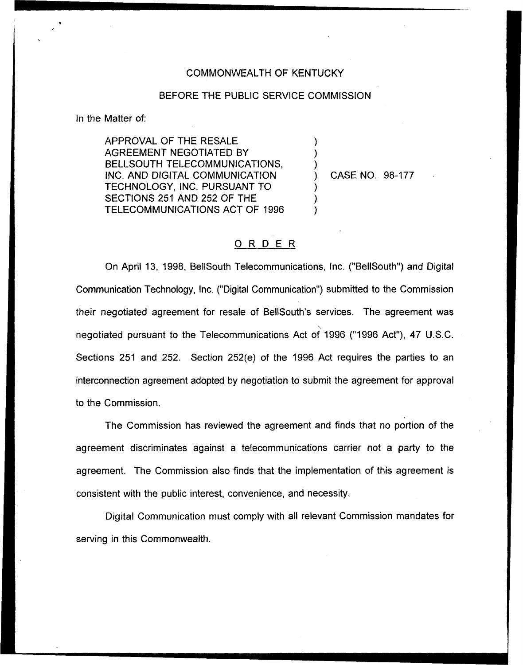## COMMONWEALTH OF KENTUCKY

## BEFORE THE PUBLIC SERVICE COMMISSION

) ) )

) ) )

In the Matter of:

APPROVAL OF THE RESALE AGREEMENT NEGOTIATED BY BELLSOUTH TELECOMMUNICATIONS, INC. AND DIGITAL COMMUNICATION TECHNOLOGY, INC. PURSUANT TO SECTIONS 251 AND 252 OF THE TELECOMMUNICATIONS ACT OF 1996

) CASE NO. 98-177

## ORDER

On April 13, 1998, BellSouth Telecommunications, Inc. ("BellSouth") and Digital Communication Technology, Inc. ("Digital Communication") submitted to the Commissic their negotiated agreement for resale of BellSouth's services. The agreement was negotiated pursuant to the Telecommunications Act of 1996 ("1996 Act"), 47 U.S.C. Sections 251 and 252. Section 252(e) of the 1996 Act requires the parties to an interconnection agreement adopted by negotiation to submit the agreement for approval to the Commission.

The Commission has reviewed the agreement and finds that no portion of the agreement discriminates against a telecommunications carrier not a party to the agreement. The Commission also finds that the implementation of this agreement is consistent with the public interest, convenience, and necessity.

Digital Communication must comply with all relevant Commission mandates for serving in this Commonwealth.